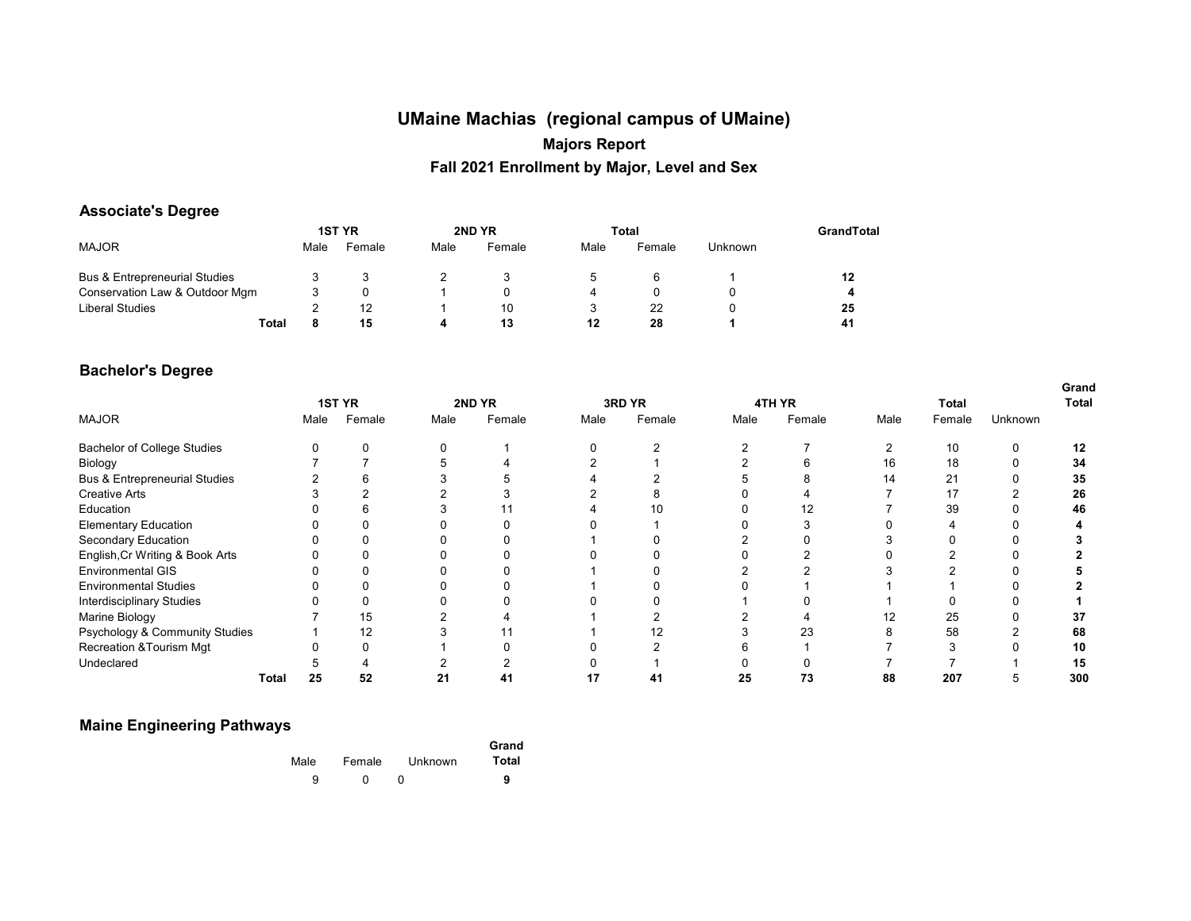# **UMaine Machias (regional campus of UMaine) Majors Report Fall 2021 Enrollment by Major, Level and Sex**

#### **Associate's Degree**

|                                          |      | <b>1ST YR</b> |      | 2ND YR |      | Total  |                | GrandTotal |
|------------------------------------------|------|---------------|------|--------|------|--------|----------------|------------|
| <b>MAJOR</b>                             | Male | Female        | Male | Female | Male | Female | <b>Unknown</b> |            |
| <b>Bus &amp; Entrepreneurial Studies</b> |      |               |      |        |      | 6      |                | 12         |
| Conservation Law & Outdoor Mgm           |      |               |      |        |      |        |                | 4          |
| Liberal Studies                          |      | 12            |      | 10     |      | 22     |                | 25         |
| <b>Total</b>                             |      | 15            | д    | 13     | 12   | 28     |                | 41         |

#### **Bachelor's Degree**

|                                          |              |      |               |      |        |      |        |      |        |      |        |         | Grand |
|------------------------------------------|--------------|------|---------------|------|--------|------|--------|------|--------|------|--------|---------|-------|
|                                          |              |      | <b>1ST YR</b> |      | 2ND YR |      | 3RD YR |      | 4TH YR |      | Total  |         | Total |
| <b>MAJOR</b>                             |              | Male | Female        | Male | Female | Male | Female | Male | Female | Male | Female | Unknown |       |
| <b>Bachelor of College Studies</b>       |              |      | 0             |      |        |      |        |      |        |      | 10     | 0       | 12    |
| Biology                                  |              |      |               |      |        |      |        |      |        | 16   | 18     | 0       | 34    |
| <b>Bus &amp; Entrepreneurial Studies</b> |              |      | h             |      |        |      |        |      |        | 14   | 21     |         | 35    |
| <b>Creative Arts</b>                     |              |      |               |      |        |      |        |      |        |      | 17     |         | 26    |
| Education                                |              |      | b             |      |        |      | 10     |      |        |      | 39     |         | 46    |
| <b>Elementary Education</b>              |              |      |               |      |        |      |        |      |        |      |        |         |       |
| Secondary Education                      |              |      |               |      |        |      |        |      |        |      |        |         |       |
| English, Cr Writing & Book Arts          |              |      |               |      |        |      |        |      |        |      |        |         |       |
| <b>Environmental GIS</b>                 |              |      |               |      |        |      |        |      |        |      |        |         |       |
| <b>Environmental Studies</b>             |              |      |               |      |        |      |        |      |        |      |        |         |       |
| Interdisciplinary Studies                |              |      |               |      |        |      |        |      |        |      |        |         |       |
| Marine Biology                           |              |      | 15            |      |        |      |        |      |        |      | 25     |         | 37    |
| Psychology & Community Studies           |              |      | 12            |      |        |      | 12     |      | 23     |      | 58     |         | 68    |
| <b>Recreation &amp; Tourism Mgt</b>      |              |      | O             |      |        |      |        |      |        |      |        |         | 10    |
| Undeclared                               |              |      |               |      |        |      |        |      |        |      |        |         | 15    |
|                                          | <b>Total</b> | 25   | 52            | 21   | 41     | 17   | 41     | 25   | 73     | 88   | 207    |         | 300   |

#### **Maine Engineering Pathways**

| Grand |         |        |      |  |
|-------|---------|--------|------|--|
| Total | Unknown | Female | Male |  |
| 9     |         |        | a    |  |